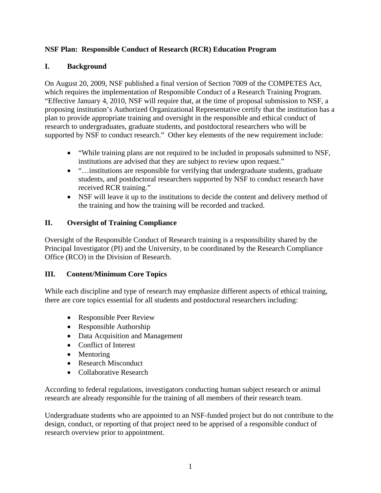#### **NSF Plan: Responsible Conduct of Research (RCR) Education Program**

#### **I. Background**

On August 20, 2009, NSF published a final version of Section 7009 of the COMPETES Act, which requires the implementation of Responsible Conduct of a Research Training Program. "Effective January 4, 2010, NSF will require that, at the time of proposal submission to NSF, a proposing institution's Authorized Organizational Representative certify that the institution has a plan to provide appropriate training and oversight in the responsible and ethical conduct of research to undergraduates, graduate students, and postdoctoral researchers who will be supported by NSF to conduct research." Other key elements of the new requirement include:

- "While training plans are not required to be included in proposals submitted to NSF, institutions are advised that they are subject to review upon request."
- "... institutions are responsible for verifying that undergraduate students, graduate students, and postdoctoral researchers supported by NSF to conduct research have received RCR training."
- NSF will leave it up to the institutions to decide the content and delivery method of the training and how the training will be recorded and tracked.

#### **II. Oversight of Training Compliance**

Oversight of the Responsible Conduct of Research training is a responsibility shared by the Principal Investigator (PI) and the University, to be coordinated by the Research Compliance Office (RCO) in the Division of Research.

## **III. Content/Minimum Core Topics**

While each discipline and type of research may emphasize different aspects of ethical training, there are core topics essential for all students and postdoctoral researchers including:

- Responsible Peer Review
- Responsible Authorship
- Data Acquisition and Management
- Conflict of Interest
- Mentoring
- Research Misconduct
- Collaborative Research

According to federal regulations, investigators conducting human subject research or animal research are already responsible for the training of all members of their research team.

Undergraduate students who are appointed to an NSF-funded project but do not contribute to the design, conduct, or reporting of that project need to be apprised of a responsible conduct of research overview prior to appointment.